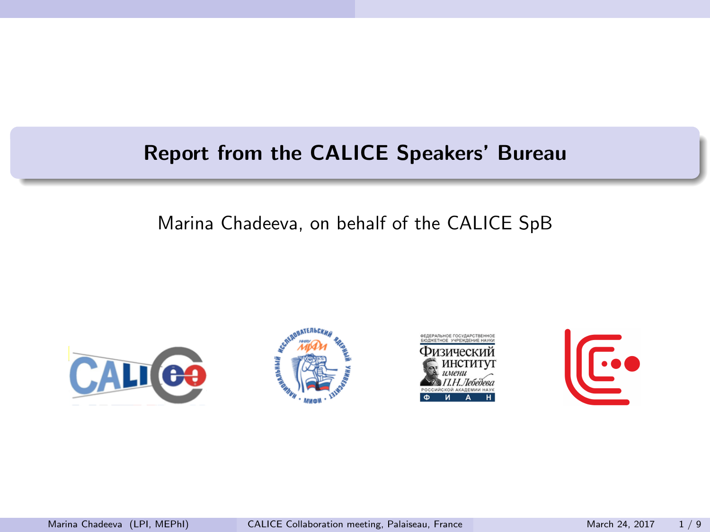### <span id="page-0-0"></span>Report from the CALICE Speakers' Bureau

### Marina Chadeeva, on behalf of the CALICE SpB







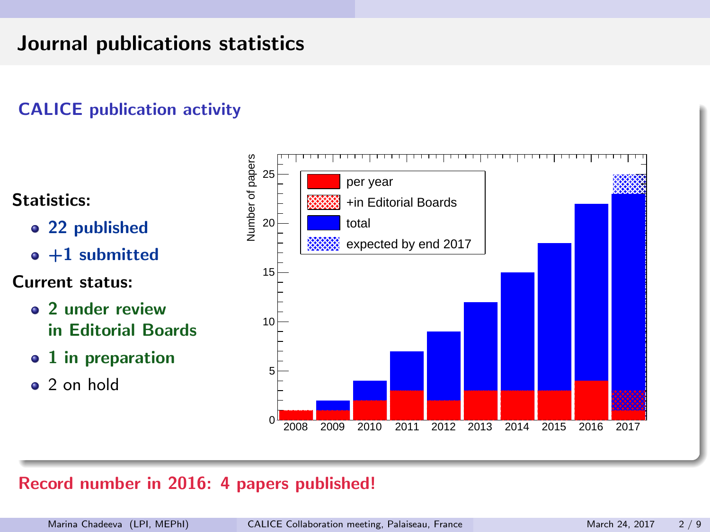# Journal publications statistics

### CALICE publication activity



#### Record number in 2016: 4 papers published!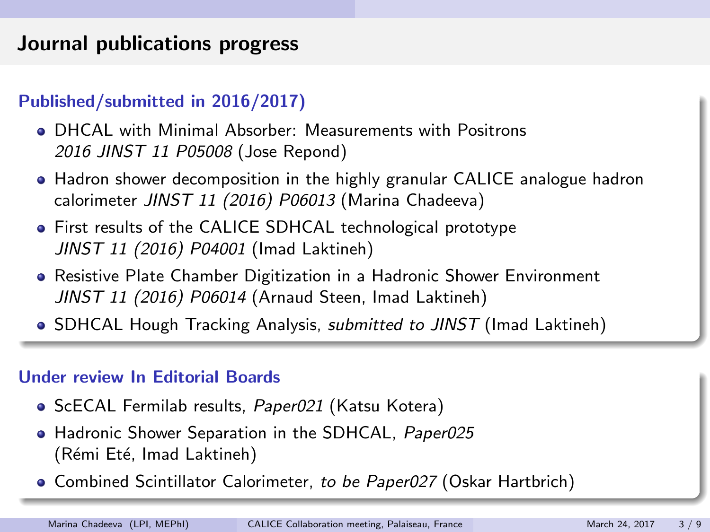# Journal publications progress

### Published/submitted in 2016/2017)

- DHCAL with Minimal Absorber: Measurements with Positrons 2016 JINST 11 P05008 (Jose Repond)
- Hadron shower decomposition in the highly granular CALICE analogue hadron calorimeter JINST 11 (2016) P06013 (Marina Chadeeva)
- First results of the CALICE SDHCAL technological prototype JINST 11 (2016) P04001 (Imad Laktineh)
- Resistive Plate Chamber Digitization in a Hadronic Shower Environment JINST 11 (2016) P06014 (Arnaud Steen, Imad Laktineh)
- **SDHCAL Hough Tracking Analysis, submitted to JINST (Imad Laktineh)**

#### Under review In Editorial Boards

- ScECAL Fermilab results, Paper021 (Katsu Kotera)
- **Hadronic Shower Separation in the SDHCAL, Paper025** (Rémi Eté, Imad Laktineh)
- **Combined Scintillator Calorimeter, to be Paper027 (Oskar Hartbrich)**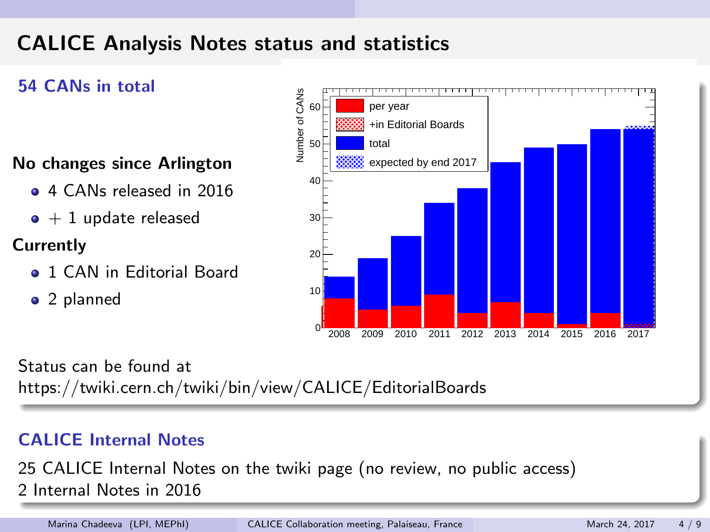# CALICE Analysis Notes status and statistics

### 54 CANs in total

#### No changes since Arlington

- **4 CANs released in 2016**
- $\bullet + 1$  update released

### **Currently**

- **0 1 CAN in Editorial Board**
- 2 planned



Status can be found at https://twiki.cern.ch/twiki/bin/view/CALICE/EditorialBoards

#### CALICE Internal Notes

25 CALICE Internal Notes on the twiki page (no review, no public access) 2 Internal Notes in 2016

Marina Chadeeva (LPI, MEPhI) [CALICE Collaboration meeting, Palaiseau, France](#page-0-0) March 24, 2017 4/9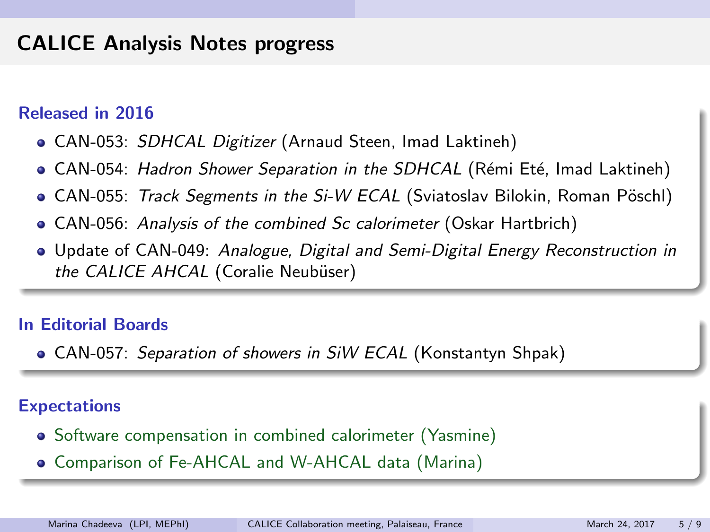## CALICE Analysis Notes progress

#### Released in 2016

- CAN-053: SDHCAL Digitizer (Arnaud Steen, Imad Laktineh)
- **CAN-054:** *Hadron Shower Separation in the SDHCAL* **(Rémi Eté, Imad Laktineh)**
- CAN-055: Track Segments in the Si-W ECAL (Sviatoslav Bilokin, Roman Pöschl)
- CAN-056: Analysis of the combined Sc calorimeter (Oskar Hartbrich)
- **Update of CAN-049: Analogue, Digital and Semi-Digital Energy Reconstruction in** the CALICE AHCAL (Coralie Neubüser)

#### In Editorial Boards

**• CAN-057: Separation of showers in SiW ECAL (Konstantyn Shpak)** 

#### Expectations

- Software compensation in combined calorimeter (Yasmine)
- Comparison of Fe-AHCAL and W-AHCAL data (Marina)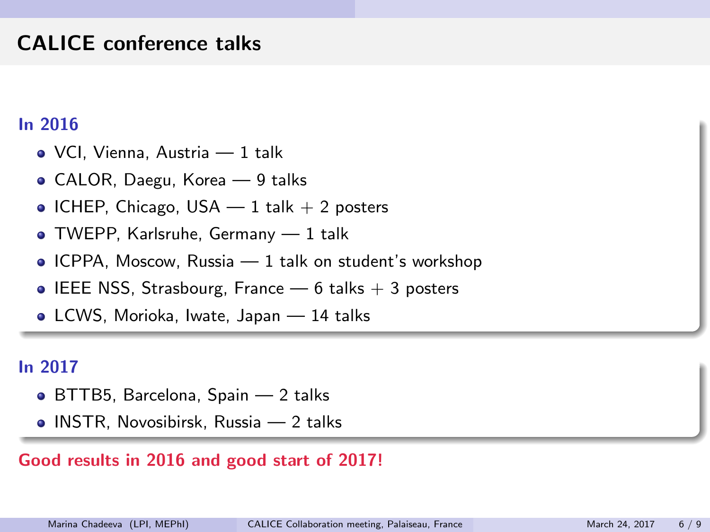## CALICE conference talks

#### In 2016

- VCI, Vienna, Austria 1 talk
- CALOR, Daegu, Korea 9 talks
- $\bullet$  ICHEP, Chicago, USA  $-1$  talk  $+2$  posters
- TWEPP, Karlsruhe, Germany 1 talk
- $\bullet$  ICPPA, Moscow, Russia  $-1$  talk on student's workshop
- **IEEE NSS, Strasbourg, France 6 talks**  $+$  3 posters
- LCWS, Morioka, Iwate, Japan 14 talks

#### In 2017

- BTTB5, Barcelona, Spain 2 talks
- **INSTR, Novosibirsk, Russia 2 talks**

### Good results in 2016 and good start of 2017!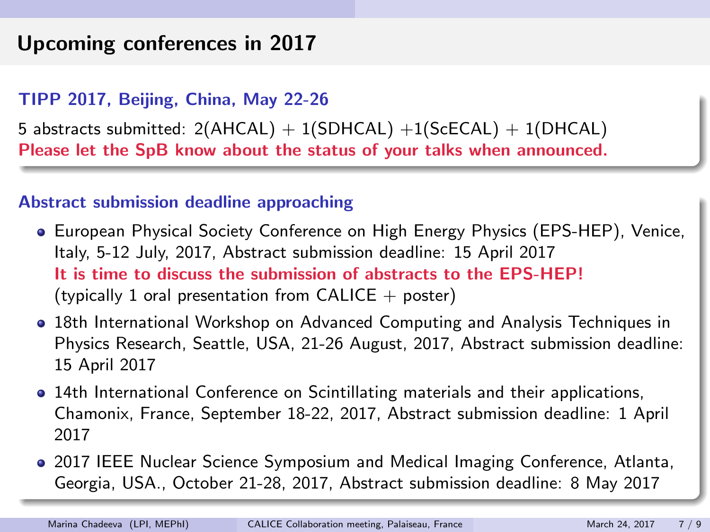## Upcoming conferences in 2017

#### TIPP 2017, Beijing, China, May 22-26

5 abstracts submitted:  $2(AHCAL) + 1(SDHCAL) + 1(ScECAL) + 1(DHCAL)$ Please let the SpB know about the status of your talks when announced.

#### Abstract submission deadline approaching

- European Physical Society Conference on High Energy Physics (EPS-HEP), Venice, Italy, 5-12 July, 2017, Abstract submission deadline: 15 April 2017 It is time to discuss the submission of abstracts to the EPS-HEP! (typically 1 oral presentation from CALICE  $+$  poster)
- 18th International Workshop on Advanced Computing and Analysis Techniques in Physics Research, Seattle, USA, 21-26 August, 2017, Abstract submission deadline: 15 April 2017
- 14th International Conference on Scintillating materials and their applications, Chamonix, France, September 18-22, 2017, Abstract submission deadline: 1 April 2017
- 2017 IEEE Nuclear Science Symposium and Medical Imaging Conference, Atlanta, Georgia, USA., October 21-28, 2017, Abstract submission deadline: 8 May 2017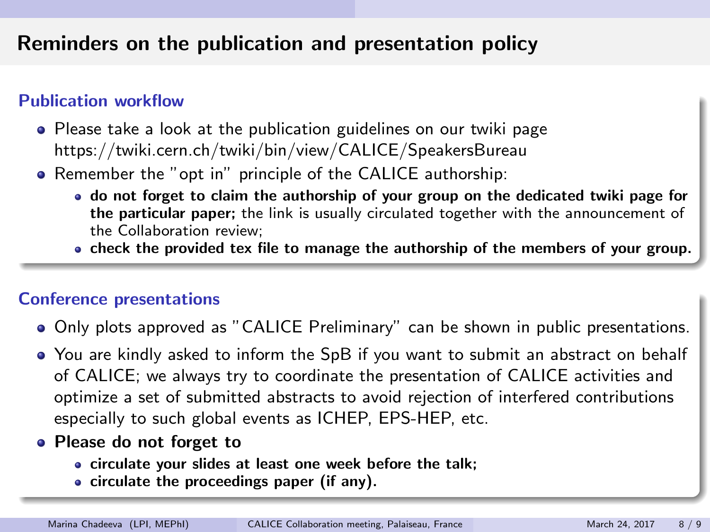## Reminders on the publication and presentation policy

#### Publication workflow

- Please take a look at the publication guidelines on our twiki page https://twiki.cern.ch/twiki/bin/view/CALICE/SpeakersBureau
- Remember the "opt in" principle of the CALICE authorship:
	- do not forget to claim the authorship of your group on the dedicated twiki page for the particular paper; the link is usually circulated together with the announcement of the Collaboration review;
	- check the provided tex file to manage the authorship of the members of your group.

#### Conference presentations

- Only plots approved as "CALICE Preliminary" can be shown in public presentations.
- You are kindly asked to inform the SpB if you want to submit an abstract on behalf of CALICE; we always try to coordinate the presentation of CALICE activities and optimize a set of submitted abstracts to avoid rejection of interfered contributions especially to such global events as ICHEP, EPS-HEP, etc.
- Please do not forget to
	- circulate your slides at least one week before the talk;
	- $\bullet$  circulate the proceedings paper (if any).